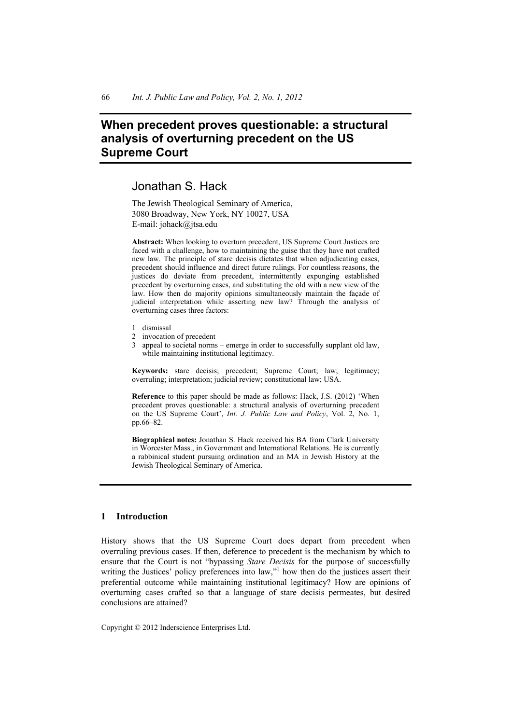# <span id="page-0-0"></span>**When precedent proves questionable: a structural analysis of overturning precedent on the US Supreme Court**

## Jonathan S. Hack

The Jewish Theological Seminary of America, 3080 Broadway, New York, NY 10027, USA E-mail: johack@jtsa.edu

**Abstract:** When looking to overturn precedent, US Supreme Court Justices are faced with a challenge, how to maintaining the guise that they have not crafted new law. The principle of stare decisis dictates that when adjudicating cases, precedent should influence and direct future rulings. For countless reasons, the justices do deviate from precedent, intermittently expunging established precedent by overturning cases, and substituting the old with a new view of the law. How then do majority opinions simultaneously maintain the façade of judicial interpretation while asserting new law? Through the analysis of overturning cases three factors:

- 1 dismissal
- 2 invocation of precedent
- 3 appeal to societal norms emerge in order to successfully supplant old law, while maintaining institutional legitimacy.

**Keywords:** stare decisis; precedent; Supreme Court; law; legitimacy; overruling; interpretation; judicial review; constitutional law; USA.

**Reference** to this paper should be made as follows: Hack, J.S. (2012) 'When precedent proves questionable: a structural analysis of overturning precedent on the US Supreme Court', *Int. J. Public Law and Policy*, Vol. 2, No. 1, pp.66–82.

**Biographical notes:** Jonathan S. Hack received his BA from Clark University in Worcester Mass., in Government and International Relations. He is currently a rabbinical student pursuing ordination and an MA in Jewish History at the Jewish Theological Seminary of America.

## **1 Introduction**

History shows that the US Supreme Court does depart from precedent when overruling previous cases. If then, deference to precedent is the mechanism by which to ensure that the Court is not "bypassing *Stare Decisis* for the purpose of successfully writing the Justices' policy preferences into law," how then do the justices assert their preferential outcome while maintaining institutional legitimacy? How are opinions of overturning cases crafted so that a language of stare decisis permeates, but desired conclusions are attained?

Copyright © 2012 Inderscience Enterprises Ltd.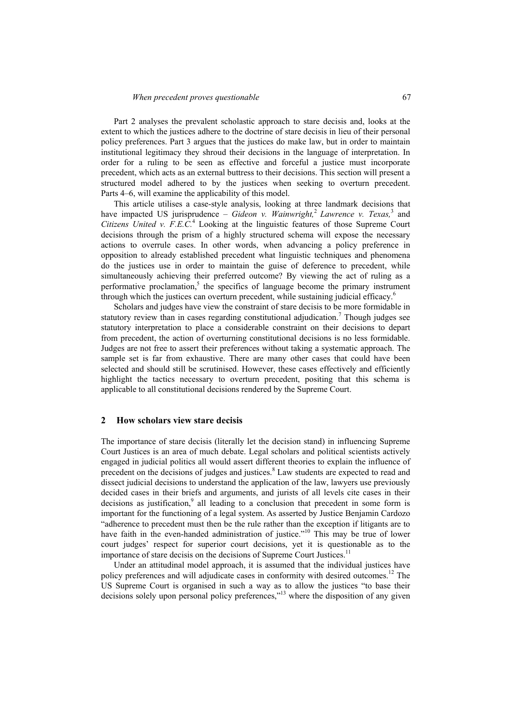<span id="page-1-0"></span>Part 2 analyses the prevalent scholastic approach to stare decisis and, looks at the extent to which the justices adhere to the doctrine of stare decisis in lieu of their personal policy preferences. Part 3 argues that the justices do make law, but in order to maintain institutional legitimacy they shroud their decisions in the language of interpretation. In order for a ruling to be seen as effective and forceful a justice must incorporate precedent, which acts as an external buttress to their decisions. This section will present a structured model adhered to by the justices when seeking to overturn precedent. Parts 4–6, will examine the applicability of this model.

This article utilises a case-style analysis, looking at three landmark decisions that have impacted US jurisprudence – *Gideon v. Wainwright*,<sup>[2](#page-11-0)</sup> *Lawrence v. Texas*,<sup>[3](#page-11-0)</sup> and *Citizens United v. F.E.C.*[4](#page-11-0) Looking at the linguistic features of those Supreme Court decisions through the prism of a highly structured schema will expose the necessary actions to overrule cases. In other words, when advancing a policy preference in opposition to already established precedent what linguistic techniques and phenomena do the justices use in order to maintain the guise of deference to precedent, while simultaneously achieving their preferred outcome? By viewing the act of ruling as a perfor[m](#page-11-0)ative proclamation, $5$  the specifics of language become the primary instrument through which the justices can overturn precedent, while sustaining judicial efficacy.<sup>[6](#page-11-0)</sup>

Scholars and judges have view the constraint of stare decisis to be more formidable in statutory review than in cases regarding constitutional adjudication.<sup>[7](#page-11-0)</sup> Though judges see statutory interpretation to place a considerable constraint on their decisions to depart from precedent, the action of overturning constitutional decisions is no less formidable. Judges are not free to assert their preferences without taking a systematic approach. The sample set is far from exhaustive. There are many other cases that could have been selected and should still be scrutinised. However, these cases effectively and efficiently highlight the tactics necessary to overturn precedent, positing that this schema is applicable to all constitutional decisions rendered by the Supreme Court.

#### **2 How scholars view stare decisis**

The importance of stare decisis (literally let the decision stand) in influencing Supreme Court Justices is an area of much debate. Legal scholars and political scientists actively engaged in judicial politics all would assert different theories to explain the influence of precedent on the decisions of judges and justices.<sup>[8](#page-11-0)</sup> Law students are expected to read and dissect judicial decisions to understand the application of the law, lawyers use previously decided cases in their briefs and arguments, and jurists of all levels cite cases in their decisions as justification, $9$  all leading to a conclusion that precedent in some form is important for the functioning of a legal system. As asserted by Justice Benjamin Cardozo "adherence to precedent must then be the rule rather than the exception if litigants are to have faith in the even-handed administration of justice."<sup>10</sup> This may be true of lower court judges' respect for superior court decisions, yet it is questi[on](#page-12-0)able as to the importance of stare decisis on the decisions of Supreme Court Justices.<sup>11</sup>

Under an attitudinal model approach, it is assumed that the individual justices have policy preferences and will adjudicate cases in conformity with desired outcomes.<sup>12</sup> The US Supreme Court is organised in such a way as to allow the justices "to base their decisions solely upon personal policy preferences,"<sup>13</sup> where the disposition of any given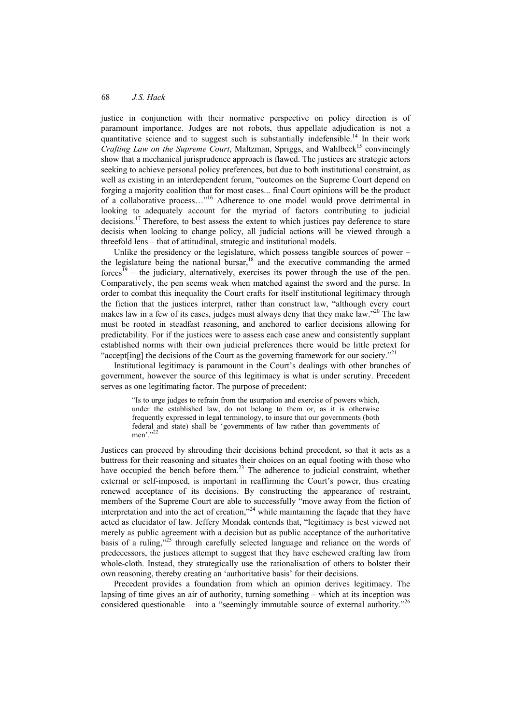<span id="page-2-0"></span>justice in conjunction with their normative perspective on policy direction is of paramount importance. Judges are not robots, thus appellate adjudication is not a quantitative science and to suggest such is substantially indefensible.<sup>14</sup> In their work  $C$ *crafting Law on the Supreme Court*, Maltzman, Spriggs, and Wahlbeck<sup>15</sup> convincingly show that a mechanical jurisprudence approach is flawed. The justices are strategic actors seeking to achieve personal policy preferences, but due to both institutional constraint, as well as existing in an interdependent forum, "outcomes on the Supreme Court depend on forging a majority coalition that for most cases... final Court opinions will be the product of a collaborative process..."<sup>[16](#page-12-0)</sup> Adherence to one model would prove detrimental in looking to adequately account for the myriad of factors contributing to judicial decisions.<sup>17</sup> Therefore, to best assess the extent to which justices pay deference to stare decisis when looking to change policy, all judicial actions will be viewed through a threefold lens – that of attitudinal, strategic and institutional models.

Unlike the presidency or the legislature, which possess tangible sources of power – the legislature being the national bursar[,18](#page-12-0) and the executive commanding the armed forces<sup>[19](#page-12-0)</sup> – the judiciary, alternatively, exercises its power through the use of the pen. Comparatively, the pen seems weak when matched against the sword and the purse. In order to combat this inequality the Court crafts for itself institutional legitimacy through the fiction that the justices interpret, rather than construct law, "although every court makes law in a few of its cases, judges must always deny that they make law."<sup>[20](#page-12-0)</sup> The law must be rooted in steadfast reasoning, and anchored to earlier decisions allowing for predictability. For if the justices were to assess each case anew and consistently supplant established norms with their own judicial preferences there would be little pretext for "accept[ing] the decisions of the Court as the governing framework for our society."<sup>[21](#page-12-0)</sup>

Institutional legitimacy is paramount in the Court's dealings with other branches of government, however the source of this legitimacy is what is under scrutiny. Precedent serves as one legitimating factor. The purpose of precedent:

"Is to urge judges to refrain from the usurpation and exercise of powers which, under the established law, do not belong to them or, as it is otherwise frequently expressed in legal terminology, to insure that our governments (both federal and state) shall be 'governments of law rather than governments of men'."

Justices can proceed by shrouding their decisions behind precedent, so that it acts as a buttress for their reasoning and situates their choices on an equal footing with those who have occupied the bench before them.<sup>23</sup> The adherence to judicial constraint, whether external or self-imposed, is important in reaffirming the Court's power, thus creating renewed acceptance of its decisions. By constructing the appearance of restraint, members of the Supreme Court are able to successfully "move away from the fiction of interpretation and into the act of creation,"<sup>24</sup> while maintaining the façade that they have acted as elucidator of law. Jeffery Mondak contends that, "legitimacy is best viewed not merely as public agreement with a decision but as public acceptance of the authoritative basis of a ruling," $^{25}$  through carefully selected language and reliance on the words of predecessors, the justices attempt to suggest that they have eschewed crafting law from whole-cloth. Instead, they strategically use the rationalisation of others to bolster their own reasoning, thereby creating an 'authoritative basis' for their decisions.

Precedent provides a foundation from which an opinion derives legitimacy. The lapsing of time gives an air of authority, turning something – which at its inception was considered questionable – into a "seemingly immutable source of external authority."<sup>26</sup>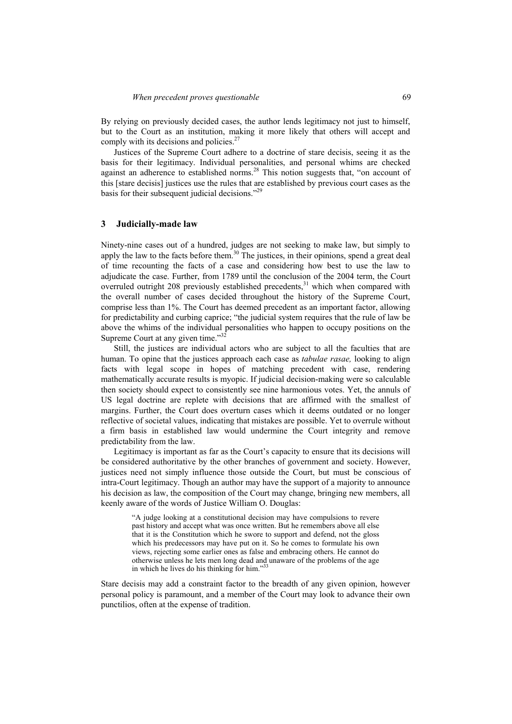<span id="page-3-0"></span>By relying on previously decided cases, the author lends legitimacy not just to himself, but to the Court as an institution, ma[k](#page-13-0)ing it more likely that others will accept and comply with its decisions and policies. $27$ 

Justices of the Supreme Court adhere to a doctrine of stare decisis, seeing it as the basis for their legitimacy. Individual personalities, and personal whims are checked against an adherence to established norms.<sup>[28](#page-13-0)</sup> This notion suggests that, "on account of this [stare decisis] justices use the rules that ar[e](#page-13-0) established by previous court cases as the basis for their subsequent judicial decisions.["29](#page-13-0)

#### **3 Judicially-made law**

Ninety-nine cases out of a hundred, judges are not seeking to make law, but simply to apply the law to the facts before them.<sup>30</sup> The justices, in their opinions, spend a great deal of time recounting the facts of a case and considering how best to use the law to adjudicate the case. Further, from 1789 until the conclusion of the 2004 term, the Court overruled outright 208 previously established precedents, $31$  which when compared with the overall number of cases decided throughout the history of the Supreme Court, comprise less than 1%. The Court has deemed precedent as an important factor, allowing for predictability and curbing caprice; "the judicial system requires that the rule of law be above the whims of the individual personalities who happen to occupy positions on the Supreme Court at any given time."<sup>[32](#page-13-0)</sup>

Still, the justices are individual actors who are subject to all the faculties that are human. To opine that the justices approach each case as *tabulae rasae,* looking to align facts with legal scope in hopes of matching precedent with case, rendering mathematically accurate results is myopic. If judicial decision-making were so calculable then society should expect to consistently see nine harmonious votes. Yet, the annuls of US legal doctrine are replete with decisions that are affirmed with the smallest of margins. Further, the Court does overturn cases which it deems outdated or no longer reflective of societal values, indicating that mistakes are possible. Yet to overrule without a firm basis in established law would undermine the Court integrity and remove predictability from the law.

Legitimacy is important as far as the Court's capacity to ensure that its decisions will be considered authoritative by the other branches of government and society. However, justices need not simply influence those outside the Court, but must be conscious of intra-Court legitimacy. Though an author may have the support of a majority to announce his decision as law, the composition of the Court may change, bringing new members, all keenly aware of the words of Justice William O. Douglas:

"A judge looking at a constitutional decision may have compulsions to revere past history and accept what was once written. But he remembers above all else that it is the Constitution which he swore to support and defend, not the gloss which his predecessors may have put on it. So he comes to formulate his own views, rejecting some earlier ones as false and embracing others. He cannot do otherwise unless he lets men long dead and [u](#page-13-0)naware of the problems of the age in which he lives do his thinking for him."<sup>33</sup>

Stare decisis may add a constraint factor to the breadth of any given opinion, however personal policy is paramount, and a member of the Court may look to advance their own punctilios, often at the expense of tradition.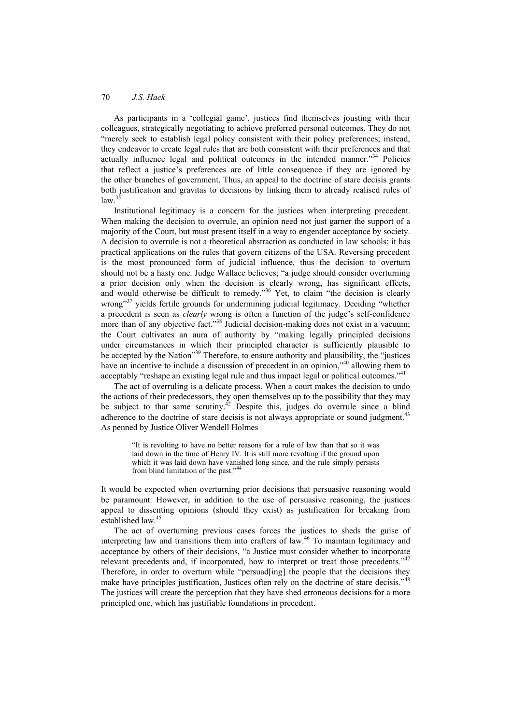<span id="page-4-0"></span>As participants in a 'collegial game', justices find themselves jousting with their colleagues, strategically negotiating to achieve preferred personal outcomes. They do not "merely seek to establish legal policy consistent with their policy preferences; instead, they endeavor to create legal rules that are both consistent with their preferences and that actually influence legal and political outcomes in the intended manner."[34](#page-13-0) Policies that reflect a justice's preferences are of little consequence if they are ignored by the other branches of government. Thus, an appeal to the doctrine of stare decisis grants both [ju](#page-13-0)stification and gravitas to decisions by linking them to already realised rules of  $law.<sup>3</sup>$ 

Institutional legitimacy is a concern for the justices when interpreting precedent. When making the decision to overrule, an opinion need not just garner the support of a majority of the Court, but must present itself in a way to engender acceptance by society. A decision to overrule is not a theoretical abstraction as conducted in law schools; it has practical applications on the rules that govern citizens of the USA. Reversing precedent is the most pronounced form of judicial influence, thus the decision to overturn should not be a hasty one. Judge Wallace believes; "a judge should consider overturning a prior decision only when the decision is clearly wrong, has significant effects, and would otherwise be difficult to remedy."<sup>36</sup> Yet, to claim "the decision is clearly wrong"<sup>37</sup> yields fertile grounds for undermining judicial legitimacy. Deciding "whether a precedent is seen as *clearly* wrong is often a function of the judge's self-confidence more than of any objective fact."<sup>[38](#page-13-0)</sup> Judicial decision-making does not exist in a vacuum; the Court cultivates an aura of authority by "making legally principled decisions under circumstances in which their principled character is sufficiently plausible to be accepted by the Nation<sup>339</sup> Therefore, to ensure authority and plausibility, the "justices" have an incentive t[o](#page-13-0) include a discussion of precedent in an opinion,<sup>340</sup> allowing them to acceptably "reshape an existing legal rule and thus impact legal or political outcomes."<sup>41</sup>

The act of overruling is a delicate process. When a court makes the decision to undo the actions of their predecessors, they open themselves up to the possibility that they may be subject to that same scrutiny.<sup>[42](#page-13-0)</sup> Despite this, judges do overrule since a blind adherence to the doctrine of stare decisis is not always appropriate or sound judgment.<sup>[43](#page-14-0)</sup> As penned by Justice Oliver Wendell Holmes

"It is revolting to have no better reasons for a rule of law than that so it was laid down in the time of Henry IV. It is still more revolting if the ground upon which it was laid down have vani[sh](#page-14-0)ed long since, and the rule simply persists from blind limitation of the past."<sup>[44](#page-14-0)</sup>

It would be expected when overturning prior decisions that persuasive reasoning would be paramount. However, in addition to the use of persuasive reasoning, the justices appeal to dissen[ti](#page-14-0)ng opinions (should they exist) as justification for breaking from established law.<sup>[45](#page-14-0)</sup>

The act of overturning previous cases forces the justices to sheds the guise of interpreting law and transitions them into crafters of law.<sup>46</sup> To maintain legitimacy and acceptance by others of their decisions, "a Justice must consider whether to incorporate relevant precedents and, if incorporated, how to interpret or treat those precedents." $47$ Therefore, in order to overturn while "persuad[ing] the people that the decisions they make have principles justification, Justices often rely on the doctrine of stare decisis."<sup>48</sup> The justices will create the perception that they have shed erroneous decisions for a more principled one, which has justifiable foundations in precedent.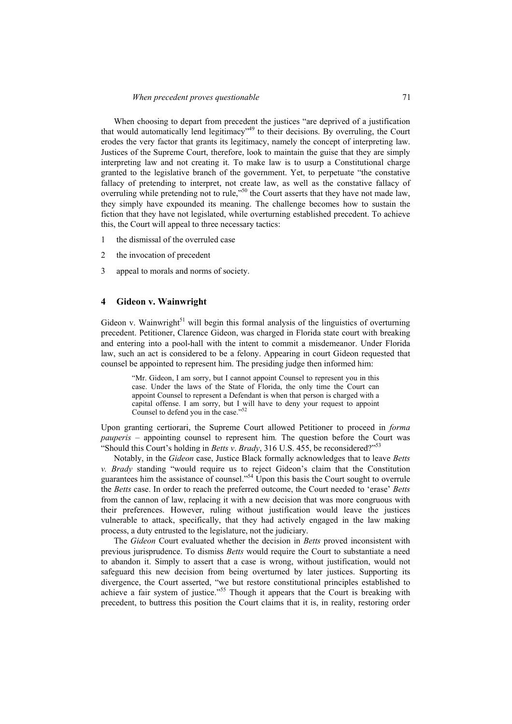<span id="page-5-0"></span>When choosing to depart from precedent the justices "are deprived of a justification that would automatically lend legitimacy<sup>-49</sup> to their decisions. By overruling, the Court erodes the very factor that grants its legitimacy, namely the concept of interpreting law. Justices of the Supreme Court, therefore, look to maintain the guise that they are simply interpreting law and not creating it. To make law is to usurp a Constitutional charge granted to the legislative branch of the government. Yet, to perpetuate "the constative fallacy of pretending to interpret, not create law, as well as the constative fallacy of overruling while pretending not to rule,"<sup>50</sup> the Court asserts that they have not made law, they simply have expounded its meaning. The challenge becomes how to sustain the fiction that they have not legislated, while overturning established precedent. To achieve this, the Court will appeal to three necessary tactics:

- 1 the dismissal of the overruled case
- 2 the invocation of precedent
- 3 appeal to morals and norms of society.

#### **4 Gideon v. Wainwright**

Gideon v. Wainwright<sup>[51](#page-14-0)</sup> will begin this formal analysis of the linguistics of overturning precedent. Petitioner, Clarence Gideon, was charged in Florida state court with breaking and entering into a pool-hall with the intent to commit a misdemeanor. Under Florida law, such an act is considered to be a felony. Appearing in court Gideon requested that counsel be appointed to represent him. The presiding judge then informed him:

> "Mr. Gideon, I am sorry, but I cannot appoint Counsel to represent you in this case. Under the laws of the State of Florida, the only time the Court can appoint Counsel to represent a Defendant is when that person is charged with a capital offense. I am sorry, but I [wi](#page-14-0)ll have to deny your request to appoint Counsel to defend you in the case."<sup>52</sup>

Upon granting certiorari, the Supreme Court allowed Petitioner to proceed in *forma pauperis* – appointing counsel to represent him*.* The question before the C[o](#page-14-0)urt was "Should this Court's holding in *Betts v. Brady*, 316 U.S. 455, be reconsidered?"<sup>53</sup>

Notably, in the *Gideon* case, Justice Black formally acknowledges that to leave *Betts v. Brady* standing "would require us to reject Gideon's claim that the Constitution guarantees him the assistance of counsel."<sup>[54](#page-14-0)</sup> Upon this basis the Court sought to overrule the *Betts* case. In order to reach the preferred outcome, the Court needed to 'erase' *Betts*  from the cannon of law, replacing it with a new decision that was more congruous with their preferences. However, ruling without justification would leave the justices vulnerable to attack, specifically, that they had actively engaged in the law making process, a duty entrusted to the legislature, not the judiciary.

The *Gideon* Court evaluated whether the decision in *Betts* proved inconsistent with previous jurisprudence. To dismiss *Betts* would require the Court to substantiate a need to abandon it. Simply to assert that a case is wrong, without justification, would not safeguard this new decision from being overturned by later justices. Supporting its divergence, the Court asserted, "we but restore constitutional principles established to achieve a fair system of justice."[55](#page-14-0) Though it appears that the Court is breaking with precedent, to buttress this position the Court claims that it is, in reality, restoring order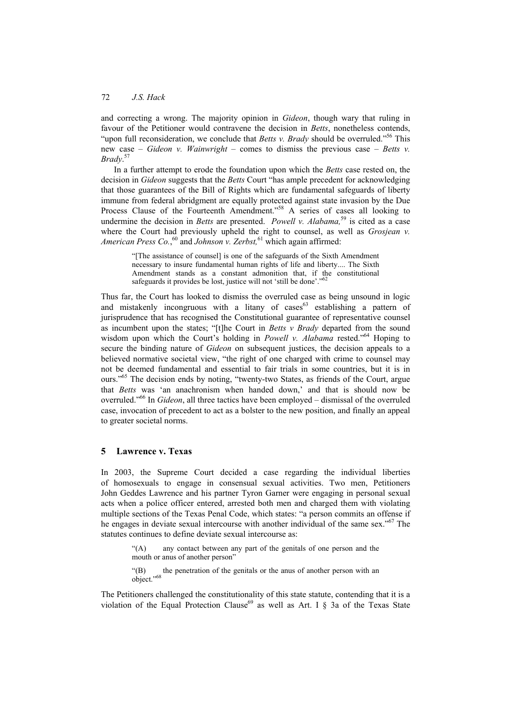<span id="page-6-0"></span>and correcting a wrong. The majority opinion in *Gideon*, though wary that ruling in favour of the Petitioner would contravene the decision in *Betts*, nonetheless contends, "upon full reconsideration, we conclude that *Betts v. Brady* should be overruled."<sup>56</sup> This new ca[se](#page-14-0) – *Gideon v. Wainwright* – comes to dismiss the previous case – *Betts v. Brady*. [57](#page-14-0)

In a further attempt to erode the foundation upon which the *Betts* case rested on, the decision in *Gideon* suggests that the *Betts* Court "has ample precedent for acknowledging that those guarantees of the Bill of Rights which are fundamental safeguards of liberty immune from federal abridgment are equally protected against state invasion by the Due Process Clause of the Fourteenth Amendment."<sup>58</sup> A series of cases all looking to undermine the decision in *Betts* are presented. *Powell v. Alabama*,<sup>[59](#page-15-0)</sup> is cited as a case where the Court had previously upheld the right to counsel, as well as *Grosiean v. American Press Co.*, [60](#page-15-0) and *Johnson v. Zerbst,*[61](#page-15-0) which again affirmed:

"[The assistance of counsel] is one of the safeguards of the Sixth Amendment necessary to insure fundamental human rights of life and liberty.... The Sixth Amendment stands as a constant admonition that, if the constitutional safeguards it provides be lost, justice will not 'still be done'."<sup>62</sup>

Thus far, the Court has looked to dismiss the overruled case as being unsound in logic and mistakenly incongruous with a litany of cases<sup>[63](#page-15-0)</sup> establishing a pattern of jurisprudence that has recognised the Constitutional guarantee of representative counsel as incumbent upon the states; "[t]he Court in *Betts v Brady* departed from the sound wisdom upon which the Court's holding in *Powell v. Alabama* rested."<sup>[64](#page-15-0)</sup> Hoping to secure the binding nature of *Gideon* on subsequent justices, the decision appeals to a believed normative societal view, "the right of one charged with crime to counsel may not be deemed fundamental and essential to fair trials in some countries, but it is in ours."<sup>[65](#page-15-0)</sup> The decision ends by noting, "twenty-two States, as friends of the Court, argue that *Betts* was 'an anachronism when handed down,' and that is should now be overruled."[66](#page-15-0) In *Gideon*, all three tactics have been employed – dismissal of the overruled case, invocation of precedent to act as a bolster to the new position, and finally an appeal to greater societal norms.

#### **5 Lawrence v. Texas**

In 2003, the Supreme Court decided a case regarding the individual liberties of homosexuals to engage in consensual sexual activities. Two men, Petitioners John Geddes Lawrence and his partner Tyron Garner were engaging in personal sexual acts when a police officer entered, arrested both men and charged them with violating multiple sections of the Texas Penal Code, which states: "a person commits an offense if he engages in deviate sexual intercourse with another individual of the same sex."<sup>[67](#page-15-0)</sup> The statutes continues to define deviate sexual intercourse as:

"(A) any contact between any part of the genitals of one person and the mouth or anus of another person"

"(B) the penetration of the genitals or the anus of another person with an object."[68](#page-15-0) 

The Petitioners challenged the constitutionality of this state statute, contending that it is a violation of the Equal Protection Clause<sup>69</sup> as well as Art. I  $\S$  3a of the Texas State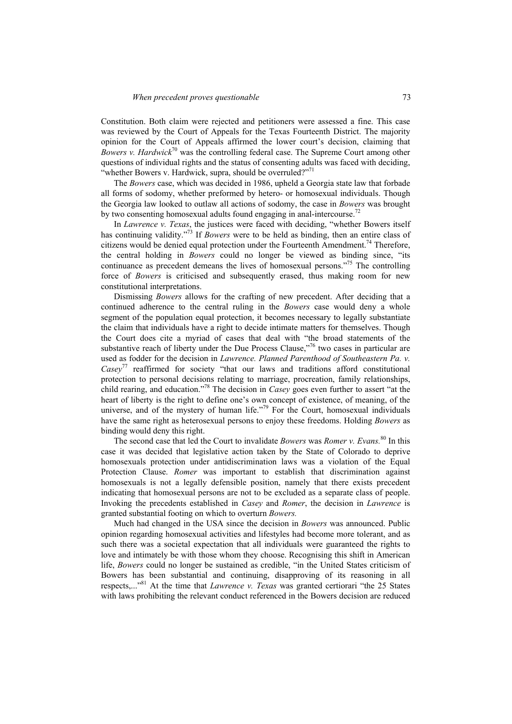<span id="page-7-0"></span>Constitution. Both claim were rejected and petitioners were assessed a fine. This case was reviewed by the Court of Appeals for the Texas Fourteenth District. The majority opinion for the Court of Appeals affirmed the lower court's decision, claiming that *Bowers v. Hardwick*[70](#page-15-0) was the controlling federal case. The Supreme Court among other questions of individual rights and the status of consenting adults was faced with deciding, "whether Bowers v. Hardwick, supra, should be overruled?"<sup>71</sup>

The *Bowers* case, which was decided in 1986, upheld a Georgia state law that forbade all forms of sodomy, whether preformed by hetero- or homosexual individuals. Though the Georgia law looked to outlaw all actions of sodomy, the case in *Bowe[rs](#page-15-0)* was brought by two consenting homosexual adults found engaging in anal-intercourse.<sup>[72](#page-15-0)</sup>

In *Lawrence v. Texas*, the justices were faced with deciding, "whether Bowers itself has continuing validity."[73](#page-15-0) If *Bowers* were to be held as binding, then an entire class of citizens would be denied equal protection under the Fourteenth Amendment.<sup>[74](#page-15-0)</sup> Therefore, the central holding in *Bowers* could no longer be viewed as binding since, "its continuance as precedent demeans the lives of homosexual persons.["75](#page-15-0) The controlling force of *Bowers* is criticised and subsequently erased, thus making room for new constitutional interpretations.

Dismissing *Bowers* allows for the crafting of new precedent. After deciding that a continued adherence to the central ruling in the *Bowers* case would deny a whole segment of the population equal protection, it becomes necessary to legally substantiate the claim that individuals have a right to decide intimate matters for themselves. Though the Court does cite a myriad of cases that deal with "the broad statements of the substantive reach of liberty under the Due Process Clause,"<sup>76</sup> two cases in particular are used as fodder for the decision in *Lawrence. Planned Parenthood of Southeastern Pa. v. Casey*[77](#page-15-0) reaffirmed for society "that our laws and traditions afford constitutional protection to personal decisions relating to marriage, procreation, family relationships, child rearing, and education.["78](#page-15-0) The decision in *Casey* goes even further to assert "at the heart of liberty is the right to define one's own concept of existence, of meaning, of the universe, and of the mystery of human life."<sup>[79](#page-15-0)</sup> For the Court, homosexual individuals have the same right as heterosexual persons to enjoy these freedoms. Holding *Bowers* as binding would deny this right.

The second case that led the Court to invalidate *Bowers* was *Romer v. Evans.*[80](#page-15-0) In this case it was decided that legislative action taken by the State of Colorado to deprive homosexuals protection under antidiscrimination laws was a violation of the Equal Protection Clause. *Romer* was important to establish that discrimination against homosexuals is not a legally defensible position, namely that there exists precedent indicating that homosexual persons are not to be excluded as a separate class of people. Invoking the precedents established in *Casey* and *Romer*, the decision in *Lawrence* is granted substantial footing on which to overturn *Bowers.* 

Much had changed in the USA since the decision in *Bowers* was announced. Public opinion regarding homosexual activities and lifestyles had become more tolerant, and as such there was a societal expectation that all individuals were guaranteed the rights to love and intimately be with those whom they choose. Recognising this shift in American life, *Bowers* could no longer be sustained as credible, "in the United States criticism of Bowers has been substantial and continuing, disapproving of its reasoning in all respects,...["81](#page-15-0) At the time that *Lawrence v. Texas* was granted certiorari "the 25 States with laws prohibiting the relevant conduct referenced in the Bowers decision are reduced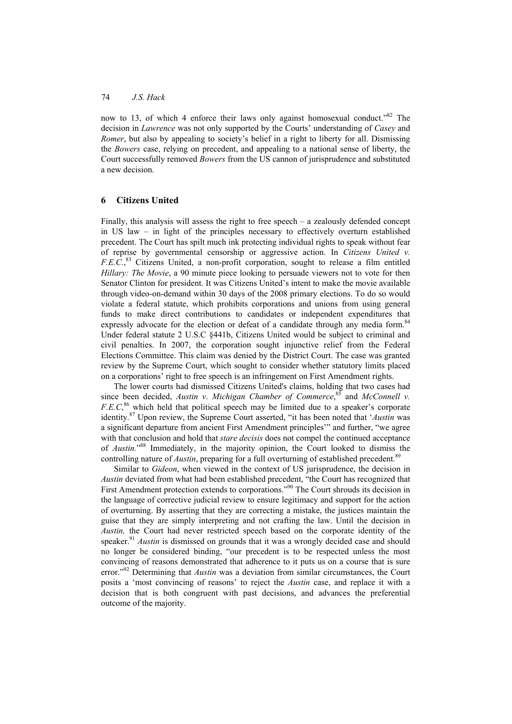<span id="page-8-0"></span>now to 13, of which 4 enforce their laws only against homosexual conduct.<sup>7[82](#page-15-0)</sup> The decision in *Lawrence* was not only supported by the Courts' understanding of *Casey* and *Romer*, but also by appealing to society's belief in a right to liberty for all. Dismissing the *Bowers* case, relying on precedent, and appealing to a national sense of liberty, the Court successfully removed *Bowers* from the US cannon of jurisprudence and substituted a new decision.

#### **6 Citizens United**

Finally, this analysis will assess the right to free speech – a zealously defended concept in US law – in light of the principles necessary to effectively overturn established precedent. The Court has spilt much ink protecting individual rights to speak without fear of reprise by governmental censorship or aggressive action. In *Citizens United v. F.E.C.*, [83](#page-15-0) Citizens United, a non-profit corporation, sought to release a film entitled *Hillary: The Movie*, a 90 minute piece looking to persuade viewers not to vote for then Senator Clinton for president. It was Citizens United's intent to make the movie available through video-on-demand within 30 days of the 2008 primary elections. To do so would violate a federal statute, which prohibits corporations and unions from using general funds to make direct contributions to candidates or independent expenditures that expressly advocate for the election or defeat of a candidate through any media form.<sup>[84](#page-15-0)</sup> Under federal statute 2 U.S.C §441b, Citizens United would be subject to criminal and civil penalties. In 2007, the corporation sought injunctive relief from the Federal Elections Committee. This claim was denied by the District Court. The case was granted review by the Supreme Court, which sought to consider whether statutory limits placed on a corporations' right to free speech is an infringement on First Amendment rights.

The lower courts had dismissed Citizens United's claims, holding that two cases had since been decided, *Austin v*. *Michigan Chamber of Commerce*, [85](#page-15-0) and *McConnell v. F.E.C*<sup>[86](#page-15-0)</sup> which held that political speech may be limited due to a speaker's corporate identity.[87](#page-16-0) Upon review, the Supreme Court asserted, "it has been noted that '*Austin* was a significant departure from ancient First Amendment principles'" and further, "we agree with that conclusion and hold that *stare decisis* does not compel the continued acceptance of *Austin.*" [88](#page-16-0) Immediately, in the majority opinion, the Court looked to dismiss the controlling nature of *Austin*, preparing for a full overturning of established precedent.<sup>8</sup>

Similar to *Gideon*, when viewed in the context of US jurisprudence, the decision in *Austin* deviated from what had been established precedent, "the Court has recognized that First Amendment protection extends to corporations.["90](#page-16-0) The Court shrouds its decision in the language of corrective judicial review to ensure legitimacy and support for the action of overturning. By asserting that they are correcting a mistake, the justices maintain the guise that they are simply interpreting and not crafting the law. Until the decision in *Austin,* the Court had never restricted speech based on the corporate identity of the speaker.<sup>91</sup> Austin is dismissed on grounds that it was a wrongly decided case and should no longer be considered binding, "our precedent is to be respected unless the most convincing of reasons demonstrated that adherence to it puts us on a course that is sure error."[92](#page-16-0) Determining that *Austin* was a deviation from similar circumstances, the Court posits a 'most convincing of reasons' to reject the *Austin* case, and replace it with a decision that is both congruent with past decisions, and advances the preferential outcome of the majority.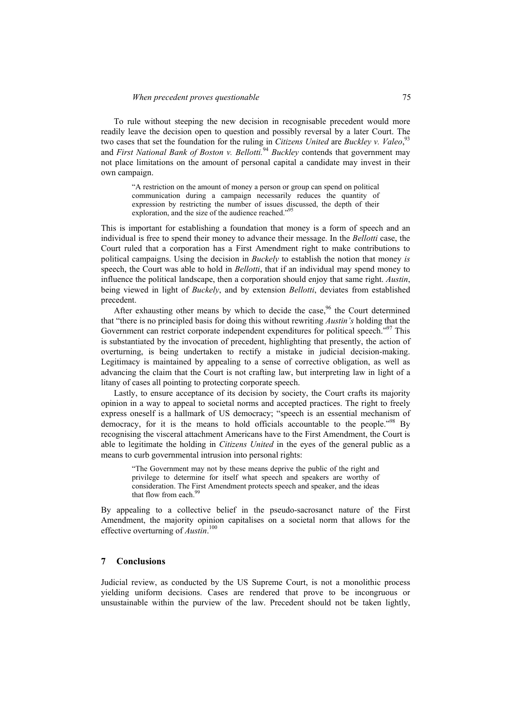<span id="page-9-0"></span>To rule without steeping the new decision in recognisable precedent would more readily leave the decision open to question and possibly reversal by a later Court. The two cases that set the foundation for the ruling in *Citizens United* are *Buckley v. Valeo*, [93](#page-16-0) and *First National Bank of Boston v. Bellotti.*[94](#page-16-0) *Buckley* contends that government may not place limitations on the amount of personal capital a candidate may invest in their own campaign.

"A restriction on the amount of money a person or group can spend on political communication during a campaign necessarily reduces the quantity of expression by restricting the number of issues di[s](#page-16-0)cussed, the depth of their exploration, and the size of the audience reached."<sup>95</sup>

This is important for establishing a foundation that money is a form of speech and an individual is free to spend their money to advance their message. In the *Bellotti* case, the Court ruled that a corporation has a First Amendment right to make contributions to political campaigns. Using the decision in *Buckely* to establish the notion that money *is*  speech, the Court was able to hold in *Bellotti*, that if an individual may spend money to influence the political landscape, then a corporation should enjoy that same right. *Austin*, being viewed in light of *Buckely*, and by extension *Bellotti*, deviates from established precedent.

After exhausting other means by which to decide the case,  $96$  the Court determined that "there is no principled basis for doing this without rewriting *Austin's* holding that the Government can restrict corporate independent expenditures for political speech."<sup>97</sup> This is substantiated by the invocation of precedent, highlighting that presently, the action of overturning, is being undertaken to rectify a mistake in judicial decision-making. Legitimacy is maintained by appealing to a sense of corrective obligation, as well as advancing the claim that the Court is not crafting law, but interpreting law in light of a litany of cases all pointing to protecting corporate speech.

Lastly, to ensure acceptance of its decision by society, the Court crafts its majority opinion in a way to appeal to societal norms and accepted practices. The right to freely express oneself is a hallmark of US democracy; "speech is an essential mechanism of democracy, for it is the means to hold officials accountable to the people."<sup>[98](#page-16-0)</sup> By recognising the visceral attachment Americans have to the First Amendment, the Court is able to legitimate the holding in *Citizens United* in the eyes of the general public as a means to curb governmental intrusion into personal rights:

"The Government may not by these means deprive the public of the right and privilege to determine for itself what speech and speakers are worthy of consideration. The First Amendment protects speech and speaker, and the ideas that flow from each.<sup>99</sup>

By appealing to a collective belief in the pseudo-sacrosanct nature of the First Amendment, the majority opini[o](#page-16-0)n capitalises on a societal norm that allows for the effective overturning of *Austin*. [100](#page-16-0)

## **7 Conclusions**

Judicial review, as conducted by the US Supreme Court, is not a monolithic process yielding uniform decisions. Cases are rendered that prove to be incongruous or unsustainable within the purview of the law. Precedent should not be taken lightly,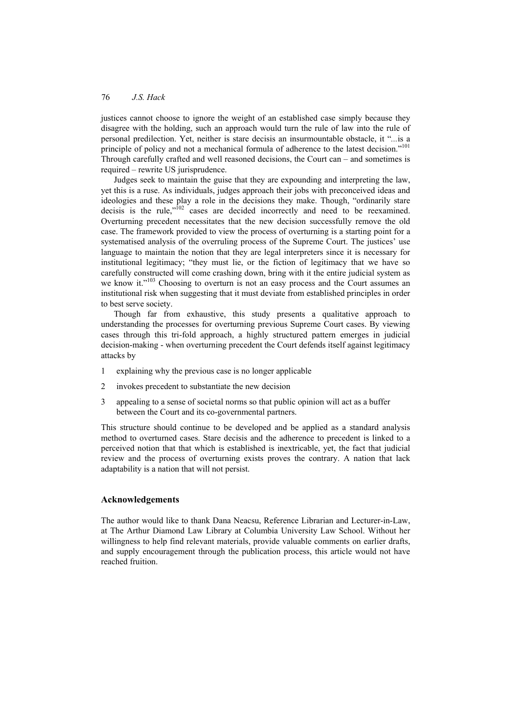<span id="page-10-0"></span>justices cannot choose to ignore the weight of an established case simply because they disagree with the holding, such an approach would turn the rule of law into the rule of personal predilection. Yet, neither is stare decisis an insurmountable obstacle, it "*...*is a principle of policy and not a mechanical formula of adherence to the latest decision."<sup>[101](#page-16-0)</sup> Through carefully crafted and well reasoned decisions, the Court can – and sometimes is required – rewrite US jurisprudence.

Judges seek to maintain the guise that they are expounding and interpreting the law, yet this is a ruse. As individuals, judges approach their jobs with preconceived ideas and ideologies and these play a role in the decisions they make. Though, "ordinarily stare decisis is the rule,"<sup>102</sup> cases are decided incorrectly and need to be reexamined. Overturning precedent necessitates that the new decision successfully remove the old case. The framework provided to view the process of overturning is a starting point for a systematised analysis of the overruling process of the Supreme Court. The justices' use language to maintain the notion that they are legal interpreters since it is necessary for institutional legitimacy; "they must lie, or the fiction of legitimacy that we have so carefully constructed will come crashing down, bring with it the entire judicial system as we know it."<sup>103</sup> Choosing to overturn is not an easy process and the Court assumes an institutional risk when suggesting that it must deviate from established principles in order to best serve society.

Though far from exhaustive, this study presents a qualitative approach to understanding the processes for overturning previous Supreme Court cases. By viewing cases through this tri-fold approach, a highly structured pattern emerges in judicial decision-making - when overturning precedent the Court defends itself against legitimacy attacks by

- 1 explaining why the previous case is no longer applicable
- 2 invokes precedent to substantiate the new decision
- 3 appealing to a sense of societal norms so that public opinion will act as a buffer between the Court and its co-governmental partners.

This structure should continue to be developed and be applied as a standard analysis method to overturned cases. Stare decisis and the adherence to precedent is linked to a perceived notion that that which is established is inextricable, yet, the fact that judicial review and the process of overturning exists proves the contrary. A nation that lack adaptability is a nation that will not persist.

#### **Acknowledgements**

The author would like to thank Dana Neacsu, Reference Librarian and Lecturer-in-Law, at The Arthur Diamond Law Library at Columbia University Law School. Without her willingness to help find relevant materials, provide valuable comments on earlier drafts, and supply encouragement through the publication process, this article would not have reached fruition.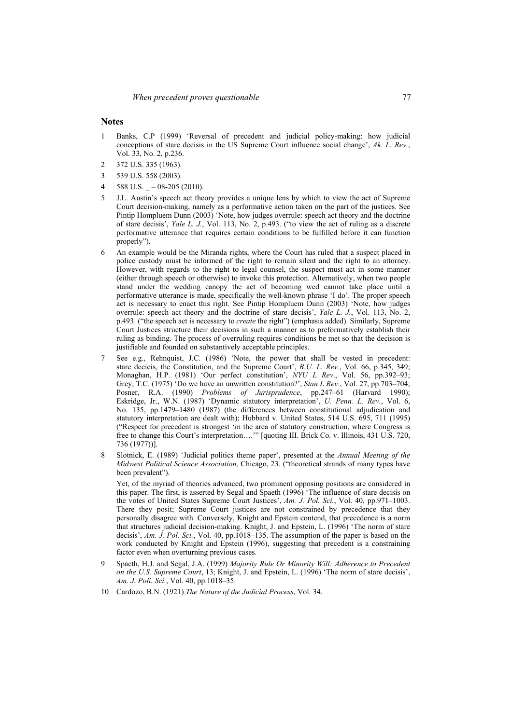#### <span id="page-11-0"></span>**Notes**

- [1](#page-0-0) Banks, C.P (1999) 'Reversal of precedent and judicial policy-making: how judicial conceptions of stare decisis in the US Supreme Court influence social change', *Ak. L. Rev.*, Vol. 33, No. 2, p.236.
- [2](#page-1-0) 372 U.S. 335 (1963).
- [3](#page-1-0) 539 U.S. 558 (2003).
- [4](#page-1-0) 588 U.S.  $-08-205(2010)$ .
- [5](#page-1-0) J.L. Austin's speech act theory provides a unique lens by which to view the act of Supreme Court decision-making, namely as a performative action taken on the part of the justices. See Pintip Hompluem Dunn (2003) 'Note, how judges overrule: speech act theory and the doctrine of stare decisis', *Yale L. J.*, Vol. 113, No. 2, p.493. ("to view the act of ruling as a discrete performative utterance that requires certain conditions to be fulfilled before it can function properly").
- [6](#page-1-0) An example would be the Miranda rights, where the Court has ruled that a suspect placed in police custody must be informed of the right to remain silent and the right to an attorney. However, with regards to the right to legal counsel, the suspect must act in some manner (either through speech or otherwise) to invoke this protection. Alternatively, when two people stand under the wedding canopy the act of becoming wed cannot take place until a performative utterance is made, specifically the well-known phrase 'I do'. The proper speech act is necessary to enact this right. See Pintip Hompluem Dunn (2003) 'Note, how judges overrule: speech act theory and the doctrine of stare decisis', *Yale L. J.*, Vol. 113, No. 2, p.493. ("the speech act is necessary to *create* the right") (emphasis added). Similarly, Supreme Court Justices structure their decisions in such a manner as to preformatively establish their ruling as binding. The process of overruling requires conditions be met so that the decision is justifiable and founded on substantively acceptable principles.
- [7](#page-1-0) See e.g., Rehnquist, J.C. (1986) 'Note, the power that shall be vested in precedent: stare decicis, the Constitution, and the Supreme Court', *B.U. L. Rev.*, Vol. 66, p.345, 349; Monaghan, H.P. (1981) 'Our perfect constitution', *NYU L Rev*., Vol. 56, pp.392–93; Grey, T.C. (1975) 'Do we have an unwritten constitution?', *Stan L Rev*., Vol. 27, pp.703–704; Posner, R.A. (1990) *Problems of Jurisprudence*, pp.247–61 (Harvard 1990); Eskridge, Jr., W.N. (1987) 'Dynamic statutory interpretation', *U. Penn. L. Rev.*, Vol. 6, No. 135, pp.1479–1480 (1987) (the differences between constitutional adjudication and statutory interpretation are dealt with); Hubbard v. United States, 514 U.S. 695, 711 (1995) ("Respect for precedent is strongest 'in the area of statutory construction, where Congress is free to change this Court's interpretation….'" [quoting III. Brick Co. v. Illinois, 431 U.S. 720, 736 (1977))].
- [8](#page-1-0) Slotnick, E. (1989) 'Judicial politics theme paper', presented at the *Annual Meeting of the Midwest Political Science Association*, Chicago, 23. ("theoretical strands of many types have been prevalent").

 Yet, of the myriad of theories advanced, two prominent opposing positions are considered in this paper. The first, is asserted by Segal and Spaeth (1996) 'The influence of stare decisis on the votes of United States Supreme Court Justices', *Am. J. Pol. Sci.*, Vol. 40, pp.971–1003. There they posit; Supreme Court justices are not constrained by precedence that they personally disagree with. Conversely, Knight and Epstein contend, that precedence is a norm that structures judicial decision-making. Knight, J. and Epstein, L. (1996) 'The norm of stare decisis', *Am. J. Pol. Sci.*, Vol. 40, pp.1018–135. The assumption of the paper is based on the work conducted by Knight and Epstein (1996), suggesting that precedent is a constraining factor even when overturning previous cases.

- [9](#page-1-0) Spaeth, H.J. and Segal, J.A. (1999) *Majority Rule Or Minority Will: Adherence to Precedent on the U.S. Supreme Court*, 13; Knight, J. and Epstein, L. (1996) 'The norm of stare decisis', *Am. J. Poli. Sci.*, Vol. 40, pp.1018–35.
- [10](#page-1-0) Cardozo, B.N. (1921) *The Nature of the Judicial Process*, Vol. 34.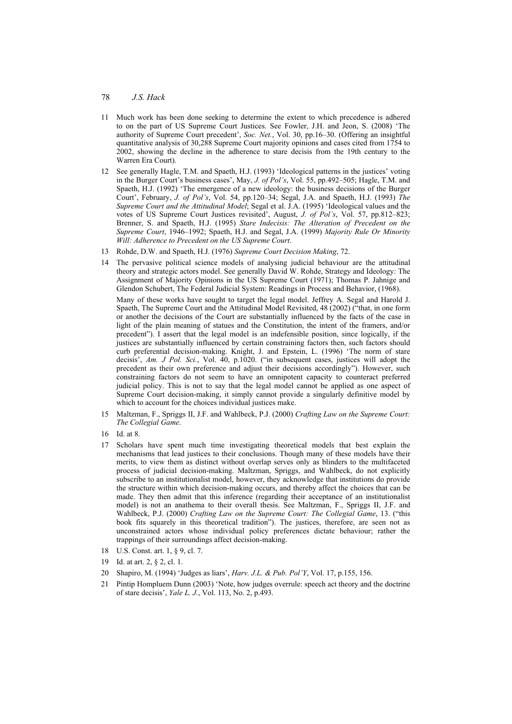- <span id="page-12-0"></span>[11](#page-1-0) Much work has been done seeking to determine the extent to which precedence is adhered to on the part of US Supreme Court Justices. See Fowler, J.H. and Jeon, S. (2008) 'The authority of Supreme Court precedent', *Soc. Net.*, Vol. 30, pp.16–30. (Offering an insightful quantitative analysis of 30,288 Supreme Court majority opinions and cases cited from 1754 to 2002, showing the decline in the adherence to stare decisis from the 19th century to the Warren Era Court).
- [12](#page-1-0) See generally Hagle, T.M. and Spaeth, H.J. (1993) 'Ideological patterns in the justices' voting in the Burger Court's business cases', May, *J. of Pol's*, Vol. 55, pp.492–505; Hagle, T.M. and Spaeth, H.J. (1992) 'The emergence of a new ideology: the business decisions of the Burger Court', February, *J. of Pol's*, Vol. 54, pp.120–34; Segal, J.A. and Spaeth, H.J. (1993) *The Supreme Court and the Attitudinal Model*; Segal et al. J.A. (1995) 'Ideological values and the votes of US Supreme Court Justices revisited', August, *J. of Pol's*, Vol. 57, pp.812–823; Brenner, S. and Spaeth, H.J. (1995) *Stare Indecisis: The Alteration of Precedent on the Supreme Court*, 1946–1992; Spaeth, H.J. and Segal, J.A. (1999) *Majority Rule Or Minority Will: Adherence to Precedent on the US Supreme Court*.
- [13](#page-1-0) Rohde, D.W. and Spaeth, H.J. (1976) *Supreme Court Decision Making*, 72.
- [14](#page-2-0) The pervasive political science models of analysing judicial behaviour are the attitudinal theory and strategic actors model. See generally David W. Rohde, Strategy and Ideology: The Assignment of Majority Opinions in the US Supreme Court (1971); Thomas P. Jahnige and Glendon Schubert, The Federal Judicial System: Readings in Process and Behavior, (1968).

 Many of these works have sought to target the legal model. Jeffrey A. Segal and Harold J. Spaeth, The Supreme Court and the Attitudinal Model Revisited, 48 (2002) ("that, in one form or another the decisions of the Court are substantially influenced by the facts of the case in light of the plain meaning of statues and the Constitution, the intent of the framers, and/or precedent"). I assert that the legal model is an indefensible position, since logically, if the justices are substantially influenced by certain constraining factors then, such factors should curb preferential decision-making. Knight, J. and Epstein, L. (1996) 'The norm of stare decisis', *Am. J Pol. Sci.*, Vol. 40, p.1020. ("in subsequent cases, justices will adopt the precedent as their own preference and adjust their decisions accordingly"). However, such constraining factors do not seem to have an omnipotent capacity to counteract preferred judicial policy. This is not to say that the legal model cannot be applied as one aspect of Supreme Court decision-making, it simply cannot provide a singularly definitive model by which to account for the choices individual justices make.

- [15](#page-2-0) Maltzman, F., Spriggs II, J.F. and Wahlbeck, P.J. (2000) *Crafting Law on the Supreme Court: The Collegial Game*.
- [16](#page-2-0) Id. at 8.
- [17](#page-2-0) Scholars have spent much time investigating theoretical models that best explain the mechanisms that lead justices to their conclusions. Though many of these models have their merits, to view them as distinct without overlap serves only as blinders to the multifaceted process of judicial decision-making. Maltzman, Spriggs, and Wahlbeck, do not explicitly subscribe to an institutionalist model, however, they acknowledge that institutions do provide the structure within which decision-making occurs, and thereby affect the choices that can be made. They then admit that this inference (regarding their acceptance of an institutionalist model) is not an anathema to their overall thesis. See Maltzman, F., Spriggs II, J.F. and Wahlbeck, P.J. (2000) *Crafting Law on the Supreme Court: The Collegial Game*, 13. ("this book fits squarely in this theoretical tradition"). The justices, therefore, are seen not as unconstrained actors whose individual policy preferences dictate behaviour; rather the trappings of their surroundings affect decision-making.
- [18](#page-2-0) U.S. Const. art. 1, § 9, cl. 7.
- [19](#page-2-0) Id. at art. 2, § 2, cl. 1.
- [20](#page-2-0) Shapiro, M. (1994) 'Judges as liars', *Harv. J.L. & Pub. Pol'Y*, Vol. 17, p.155, 156.
- [21](#page-2-0) Pintip Hompluem Dunn (2003) 'Note, how judges overrule: speech act theory and the doctrine of stare decisis', *Yale L. J.*, Vol. 113, No. 2, p.493.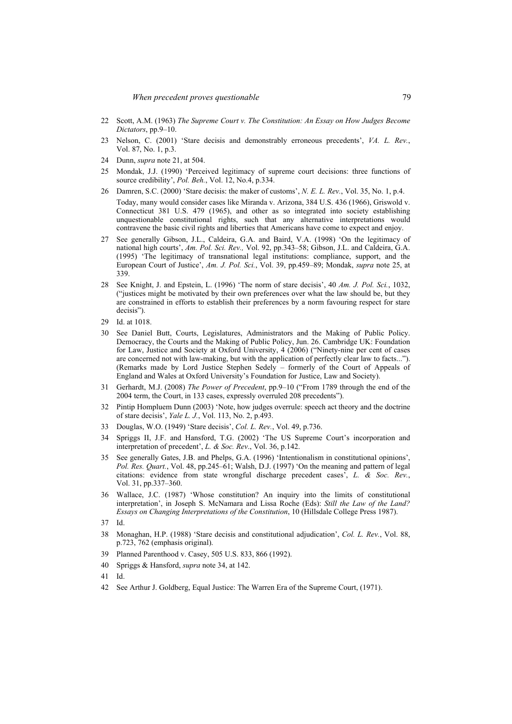- <span id="page-13-0"></span>[22](#page-2-0) Scott, A.M. (1963) *The Supreme Court v. The Constitution: An Essay on How Judges Become Dictators*, pp.9–10.
- [23](#page-2-0) Nelson, C. (2001) 'Stare decisis and demonstrably erroneous precedents', *VA. L. Rev.*, Vol. 87, No. 1, p.3.
- [24](#page-2-0) Dunn, *supra* note 21, at 504.
- [25](#page-2-0) Mondak, J.J. (1990) 'Perceived legitimacy of supreme court decisions: three functions of source credibility', *Pol. Beh.*, Vol. 12, No.4, p.334.
- [26](#page-2-0) Damren, S.C. (2000) 'Stare decisis: the maker of customs', *N. E. L. Rev.*, Vol. 35, No. 1, p.4. Today, many would consider cases like Miranda v. Arizona, 384 U.S. 436 (1966), Griswold v. Connecticut 381 U.S. 479 (1965), and other as so integrated into society establishing unquestionable constitutional rights, such that any alternative interpretations would contravene the basic civil rights and liberties that Americans have come to expect and enjoy.
- [27](#page-3-0) See generally Gibson, J.L., Caldeira, G.A. and Baird, V.A. (1998) 'On the legitimacy of national high courts', *Am. Pol. Sci. Rev.,* Vol. 92, pp.343–58; Gibson, J.L. and Caldeira, G.A. (1995) 'The legitimacy of transnational legal institutions: compliance, support, and the European Court of Justice', *Am. J. Pol. Sci.*, Vol. 39, pp.459–89; Mondak, *supra* note 25, at 339.
- [28](#page-3-0) See Knight, J. and Epstein, L. (1996) 'The norm of stare decisis', 40 *Am. J. Pol. Sci.*, 1032, ("justices might be motivated by their own preferences over what the law should be, but they are constrained in efforts to establish their preferences by a norm favouring respect for stare decisis").
- [29](#page-3-0) Id. at 1018.
- [30](#page-3-0) See Daniel Butt, Courts, Legislatures, Administrators and the Making of Public Policy. Democracy, the Courts and the Making of Public Policy, Jun. 26. Cambridge UK: Foundation for Law, Justice and Society at Oxford University, 4 (2006) ("Ninety-nine per cent of cases are concerned not with law-making, but with the application of perfectly clear law to facts..."). (Remarks made by Lord Justice Stephen Sedely – formerly of the Court of Appeals of England and Wales at Oxford University's Foundation for Justice, Law and Society).
- [31](#page-3-0) Gerhardt, M.J. (2008) *The Power of Precedent*, pp.9–10 ("From 1789 through the end of the 2004 term, the Court, in 133 cases, expressly overruled 208 precedents").
- [32](#page-3-0) Pintip Hompluem Dunn (2003) 'Note, how judges overrule: speech act theory and the doctrine of stare decisis', *Yale L. J.*, Vol. 113, No. 2, p.493.
- [33](#page-3-0) Douglas, W.O. (1949) 'Stare decisis', *Col. L. Rev.*, Vol. 49, p.736.
- [34](#page-4-0) Spriggs II, J.F. and Hansford, T.G. (2002) 'The US Supreme Court's incorporation and interpretation of precedent', *L. & Soc. Rev*., Vol. 36, p.142.
- [35](#page-4-0) See generally Gates, J.B. and Phelps, G.A. (1996) 'Intentionalism in constitutional opinions', *Pol. Res. Quart.*, Vol. 48, pp.245–61; Walsh, D.J. (1997) 'On the meaning and pattern of legal citations: evidence from state wrongful discharge precedent cases', *L. & Soc. Rev.*, Vol. 31, pp.337–360.
- [36](#page-4-0) Wallace, J.C. (1987) 'Whose constitution? An inquiry into the limits of constitutional interpretation', in Joseph S. McNamara and Lissa Roche (Eds): *Still the Law of the Land? Essays on Changing Interpretations of the Constitution*, 10 (Hillsdale College Press 1987).

[37](#page-4-0) Id.

- [38](#page-4-0) Monaghan, H.P. (1988) 'Stare decisis and constitutional adjudication', *Col. L. Rev.*, Vol. 88, p.723, 762 (emphasis original).
- [39](#page-4-0) Planned Parenthood v. Casey, 505 U.S. 833, 866 (1992).
- [40](#page-4-0) Spriggs & Hansford, *supra* note 34, at 142.
- [41](#page-4-0) Id.
- [42](#page-4-0) See Arthur J. Goldberg, Equal Justice: The Warren Era of the Supreme Court, (1971).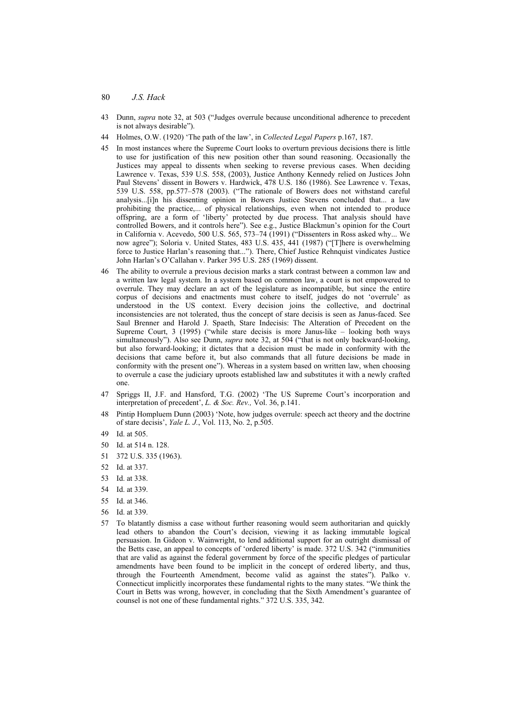- <span id="page-14-0"></span>80 *J.S. Hack*
- [43](#page-4-0) Dunn, *supra* note 32, at 503 ("Judges overrule because unconditional adherence to precedent is not always desirable").
- [44](#page-4-0) Holmes, O.W. (1920) 'The path of the law', in *Collected Legal Papers* p.167, 187.
- [45](#page-4-0) In most instances where the Supreme Court looks to overturn previous decisions there is little to use for justification of this new position other than sound reasoning. Occasionally the Justices may appeal to dissents when seeking to reverse previous cases. When deciding Lawrence v. Texas, 539 U.S. 558, (2003), Justice Anthony Kennedy relied on Justices John Paul Stevens' dissent in Bowers v. Hardwick, 478 U.S. 186 (1986). See Lawrence v. Texas, 539 U.S. 558, pp.577–578 (2003). ("The rationale of Bowers does not withstand careful analysis...[i]n his dissenting opinion in Bowers Justice Stevens concluded that... a law prohibiting the practice,... of physical relationships, even when not intended to produce offspring, are a form of 'liberty' protected by due process. That analysis should have controlled Bowers, and it controls here"). See e.g., Justice Blackmun's opinion for the Court in California v. Acevedo, 500 U.S. 565, 573–74 (1991) ("Dissenters in Ross asked why... We now agree"); Soloria v. United States, 483 U.S. 435, 441 (1987) ("[T]here is overwhelming force to Justice Harlan's reasoning that..."). There, Chief Justice Rehnquist vindicates Justice John Harlan's O'Callahan v. Parker 395 U.S. 285 (1969) dissent.
- [46](#page-4-0) The ability to overrule a previous decision marks a stark contrast between a common law and a written law legal system. In a system based on common law, a court is not empowered to overrule. They may declare an act of the legislature as incompatible, but since the entire corpus of decisions and enactments must cohere to itself, judges do not 'overrule' as understood in the US context. Every decision joins the collective, and doctrinal inconsistencies are not tolerated, thus the concept of stare decisis is seen as Janus-faced. See Saul Brenner and Harold J. Spaeth, Stare Indecisis: The Alteration of Precedent on the Supreme Court, 3 (1995) ("while stare decisis is more Janus-like – looking both ways simultaneously"). Also see Dunn, *supra* note 32, at 504 ("that is not only backward-looking, but also forward-looking; it dictates that a decision must be made in conformity with the decisions that came before it, but also commands that all future decisions be made in conformity with the present one"). Whereas in a system based on written law, when choosing to overrule a case the judiciary uproots established law and substitutes it with a newly crafted one.
- [47](#page-4-0) Spriggs II, J.F. and Hansford, T.G. (2002) 'The US Supreme Court's incorporation and interpretation of precedent', *L. & Soc. Rev.,* Vol. 36, p.141.
- [48](#page-4-0) Pintip Hompluem Dunn (2003) 'Note, how judges overrule: speech act theory and the doctrine of stare decisis', *Yale L. J.*, Vol. 113, No. 2, p.505.
- [49](#page-5-0) Id. at 505.
- [50](#page-5-0) Id. at 514 n. 128.
- [51](#page-5-0) 372 U.S. 335 (1963).
- [52](#page-5-0) Id. at 337.
- [53](#page-5-0) Id. at 338.
- [54](#page-5-0) Id. at 339.
- [55](#page-5-0) Id. at 346.
- [56](#page-6-0) Id. at 339.
- [57](#page-6-0) To blatantly dismiss a case without further reasoning would seem authoritarian and quickly lead others to abandon the Court's decision, viewing it as lacking immutable logical persuasion. In Gideon v. Wainwright, to lend additional support for an outright dismissal of the Betts case, an appeal to concepts of 'ordered liberty' is made. 372 U.S. 342 ("immunities that are valid as against the federal government by force of the specific pledges of particular amendments have been found to be implicit in the concept of ordered liberty, and thus, through the Fourteenth Amendment, become valid as against the states"). Palko v. Connecticut implicitly incorporates these fundamental rights to the many states. "We think the Court in Betts was wrong, however, in concluding that the Sixth Amendment's guarantee of counsel is not one of these fundamental rights." 372 U.S. 335, 342.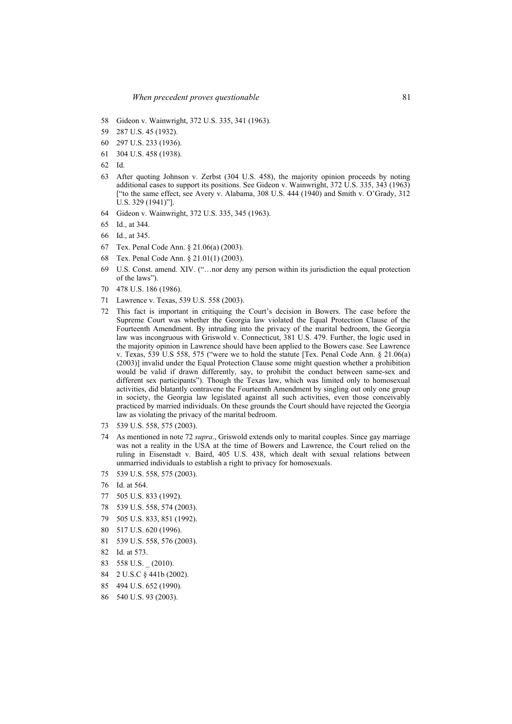- <span id="page-15-0"></span>[58](#page-6-0) Gideon v. Wainwright, 372 U.S. 335, 341 (1963).
- [59](#page-6-0) 287 U.S. 45 (1932).
- [60](#page-6-0) 297 U.S. 233 (1936).
- [61](#page-6-0) 304 U.S. 458 (1938).
- [62](#page-6-0) Id.
- [63](#page-6-0) After quoting Johnson v. Zerbst (304 U.S. 458), the majority opinion proceeds by noting additional cases to support its positions. See Gideon v. Wainwright, 372 U.S. 335, 343 (1963) ["to the same effect, see Avery v. Alabama, 308 U.S. 444 (1940) and Smith v. O'Grady, 312 U.S. 329 (1941)"].
- [64](#page-6-0) Gideon v. Wainwright, 372 U.S. 335, 345 (1963).
- [65](#page-6-0) Id., at 344.
- [66](#page-6-0) Id., at 345.
- [67](#page-6-0) Tex. Penal Code Ann. § 21.06(a) (2003).
- [68](#page-6-0) Tex. Penal Code Ann. § 21.01(1) (2003).
- [69](#page-6-0) U.S. Const. amend. XIV. ("…nor deny any person within its jurisdiction the equal protection of the laws").
- [70](#page-7-0) 478 U.S. 186 (1986).
- [71](#page-7-0) Lawrence v. Texas, 539 U.S. 558 (2003).
- [72](#page-7-0) This fact is important in critiquing the Court's decision in Bowers. The case before the Supreme Court was whether the Georgia law violated the Equal Protection Clause of the Fourteenth Amendment. By intruding into the privacy of the marital bedroom, the Georgia law was incongruous with Griswold v. Connecticut, 381 U.S. 479. Further, the logic used in the majority opinion in Lawrence should have been applied to the Bowers case. See Lawrence v. Texas, 539 U.S 558, 575 ("were we to hold the statute [Tex. Penal Code Ann. § 21.06(a) (2003)] invalid under the Equal Protection Clause some might question whether a prohibition would be valid if drawn differently, say, to prohibit the conduct between same-sex and different sex participants"). Though the Texas law, which was limited only to homosexual activities, did blatantly contravene the Fourteenth Amendment by singling out only one group in society, the Georgia law legislated against all such activities, even those conceivably practiced by married individuals. On these grounds the Court should have rejected the Georgia law as violating the privacy of the marital bedroom.
- [73](#page-7-0) 539 U.S. 558, 575 (2003).
- [74](#page-7-0) As mentioned in note 72 *supra*., Griswold extends only to marital couples. Since gay marriage was not a reality in the USA at the time of Bowers and Lawrence, the Court relied on the ruling in Eisenstadt v. Baird, 405 U.S. 438, which dealt with sexual relations between unmarried individuals to establish a right to privacy for homosexuals.
- [75](#page-7-0) 539 U.S. 558, 575 (2003).
- [76](#page-7-0) Id. at 564.
- [77](#page-7-0) 505 U.S. 833 (1992).
- [78](#page-7-0) 539 U.S. 558, 574 (2003).
- [79](#page-7-0) 505 U.S. 833, 851 (1992).
- [80](#page-7-0) 517 U.S. 620 (1996).
- [81](#page-7-0) 539 U.S. 558, 576 (2003).
- [82](#page-8-0) Id. at 573.
- [83](#page-8-0) 558 U.S. (2010).
- [84](#page-8-0) 2 U.S.C § 441b (2002).
- [85](#page-8-0) 494 U.S. 652 (1990).
- [86](#page-8-0) 540 U.S. 93 (2003).